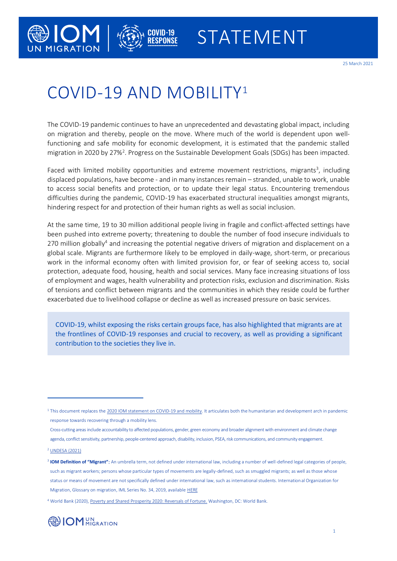

25 March 2021

# COVID-19 AND MOBILITY<sup>1</sup>

MIGRATION

**COVID-19<br>RESPONSE** 

The COVID-19 pandemic continues to have an unprecedented and devastating global impact, including on migration and thereby, people on the move. Where much of the world is dependent upon wellfunctioning and safe mobility for economic development, it is estimated that the pandemic stalled migration in 2020 by 27%<sup>2</sup>. Progress on the Sustainable Development Goals (SDGs) has been impacted.

Faced with limited mobility opportunities and extreme movement restrictions, migrants<sup>3</sup>, including displaced populations, have become - and in many instances remain – stranded, unable to work, unable to access social benefits and protection, or to update their legal status. Encountering tremendous difficulties during the pandemic, COVID-19 has exacerbated structural inequalities amongst migrants, hindering respect for and protection of their human rights as well as social inclusion.

At the same time, 19 to 30 million additional people living in fragile and conflict-affected settings have been pushed into extreme poverty; threatening to double the number of food insecure individuals to 270 million globally<sup>4</sup> and increasing the potential negative drivers of migration and displacement on a global scale. Migrants are furthermore likely to be employed in daily-wage, short-term, or precarious work in the informal economy often with limited provision for, or fear of seeking access to, social protection, adequate food, housing, health and social services. Many face increasing situations of loss of employment and wages, health vulnerability and protection risks, exclusion and discrimination. Risks of tensions and conflict between migrants and the communities in which they reside could be further exacerbated due to livelihood collapse or decline as well as increased pressure on basic services.

COVID-19, whilst exposing the risks certain groups face, has also highlighted that migrants are at the frontlines of COVID-19 responses and crucial to recovery, as well as providing a significant contribution to the societies they live in.

<sup>4</sup> World Bank (2020)[, Poverty and Shared Prosperity 2020: Reversals of Fortune.](https://www.worldbank.org/en/publication/poverty-and-shared-prosperity) Washington, DC: World Bank.



<sup>&</sup>lt;sup>1</sup> This document replaces th[e 2020 IOM statement on COVID-19 and mobility.](https://www.iom.int/sites/default/files/institutional_statement_covid19_28052020.pdf) It articulates both the humanitarian and development arch in pandemic response towards recovering through a mobility lens.

Cross-cutting areas include accountability to affected populations, gender, green economy and broader alignment with environment and climate change agenda, conflict sensitivity, partnership, people-centered approach, disability, inclusion, PSEA, risk communications, and community engagement.

<sup>2</sup> [UNDESA \(2021\)](https://www.un.org/development/desa/pd/news/international-migration-2020)

<sup>3</sup> **IOM Definition of "Migrant**": An umbrella term, not defined under international law, including a number of well-defined legal categories of people, such as migrant workers; persons whose particular types of movements are legally-defined, such as smuggled migrants; as well as those whose status or means of movement are not specifically defined under international law, such as international students. Internation al Organization for Migration, Glossary on migration, IML Series No. 34, 2019, availabl[e HERE](https://publications.iom.int/system/files/pdf/iml_34_glossary.pdf)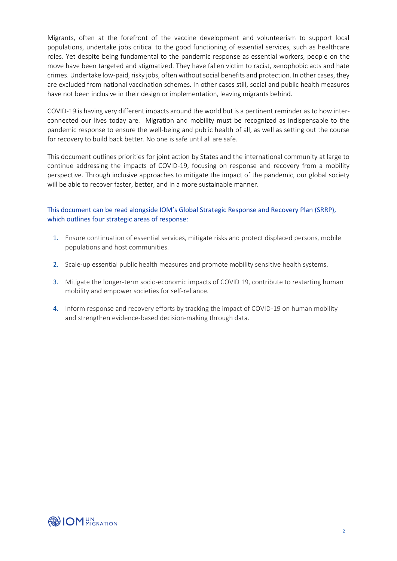Migrants, often at the forefront of the vaccine development and volunteerism to support local populations, undertake jobs critical to the good functioning of essential services, such as healthcare roles. Yet despite being fundamental to the pandemic response as essential workers, people on the move have been targeted and stigmatized. They have fallen victim to racist, xenophobic acts and hate crimes. Undertake low-paid, risky jobs, often without social benefits and protection. In other cases, they are excluded from national vaccination schemes. In other cases still, social and public health measures have not been inclusive in their design or implementation, leaving migrants behind.

COVID-19 is having very different impacts around the world but is a pertinent reminder as to how interconnected our lives today are. Migration and mobility must be recognized as indispensable to the pandemic response to ensure the well-being and public health of all, as well as setting out the course for recovery to build back better. No one is safe until all are safe.

This document outlines priorities for joint action by States and the international community at large to continue addressing the impacts of COVID-19, focusing on response and recovery from a mobility perspective. Through inclusive approaches to mitigate the impact of the pandemic, our global society will be able to recover faster, better, and in a more sustainable manner.

# This document can be read alongside IOM's Global Strategic Response and Recovery Plan (SRRP), which outlines four strategic areas of response:

- 1. Ensure continuation of essential services, mitigate risks and protect displaced persons, mobile populations and host communities.
- 2. Scale-up essential public health measures and promote mobility sensitive health systems.
- 3. Mitigate the longer-term socio-economic impacts of COVID 19, contribute to restarting human mobility and empower societies for self-reliance.
- 4. Inform response and recovery efforts by tracking the impact of COVID-19 on human mobility and strengthen evidence-based decision-making through data.

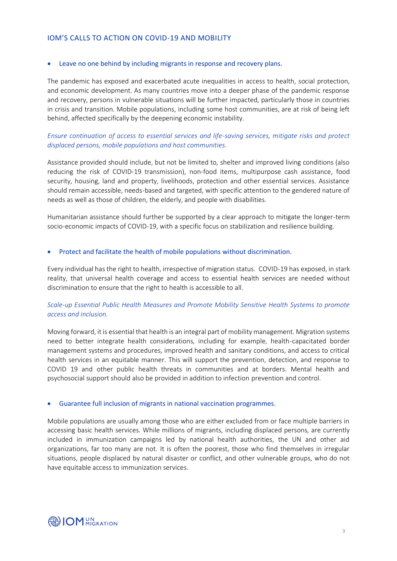#### IOM'S CALLS TO ACTION ON COVID-19 AND MOBILITY

#### • Leave no one behind by including migrants in response and recovery plans.

The pandemic has exposed and exacerbated acute inequalities in access to health, social protection, and economic development. As many countries move into a deeper phase of the pandemic response and recovery, persons in vulnerable situations will be further impacted, particularly those in countries in crisis and transition. Mobile populations, including some host communities, are at risk of being left behind, affected specifically by the deepening economic instability.

# *Ensure continuation of access to essential services and life-saving services, mitigate risks and protect displaced persons, mobile populations and host communities.*

Assistance provided should include, but not be limited to, shelter and improved living conditions (also reducing the risk of COVID-19 transmission), non-food items, multipurpose cash assistance, food security, housing, land and property, livelihoods, protection and other essential services. Assistance should remain accessible, needs-based and targeted, with specific attention to the gendered nature of needs as well as those of children, the elderly, and people with disabilities.

Humanitarian assistance should further be supported by a clear approach to mitigate the longer-term socio-economic impacts of COVID-19, with a specific focus on stabilization and resilience building.

#### • Protect and facilitate the health of mobile populations without discrimination.

Every individual has the right to health, irrespective of migration status. COVID-19 has exposed, in stark reality, that universal health coverage and access to essential health services are needed without discrimination to ensure that the right to health is accessible to all.

## *Scale-up Essential Public Health Measures and Promote Mobility Sensitive Health Systems to promote access and inclusion.*

Moving forward, it is essential that health is an integral part of mobility management. Migration systems need to better integrate health considerations, including for example, health-capacitated border management systems and procedures, improved health and sanitary conditions, and access to critical health services in an equitable manner. This will support the prevention, detection, and response to COVID 19 and other public health threats in communities and at borders. Mental health and psychosocial support should also be provided in addition to infection prevention and control.

#### • Guarantee full inclusion of migrants in national vaccination programmes.

Mobile populations are usually among those who are either excluded from or face multiple barriers in accessing basic health services. While millions of migrants, including displaced persons, are currently included in immunization campaigns led by national health authorities, the UN and other aid organizations, far too many are not. It is often the poorest, those who find themselves in irregular situations, people displaced by natural disaster or conflict, and other vulnerable groups, who do not have equitable access to immunization services.

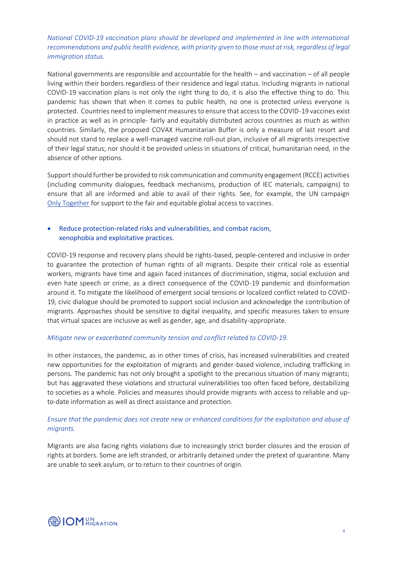# *National COVID-19 vaccination plans should be developed and implemented in line with international recommendations and public health evidence, with priority given to those most at risk, regardless of legal immigration status.*

National governments are responsible and accountable for the health – and vaccination – of all people living within their borders regardless of their residence and legal status. Including migrants in national COVID-19 vaccination plans is not only the right thing to do, it is also the effective thing to do. This pandemic has shown that when it comes to public health, no one is protected unless everyone is protected. Countries need to implement measures to ensure that access to the COVID-19 vaccines exist in practice as well as in principle- fairly and equitably distributed across countries as much as within countries. Similarly, the proposed COVAX Humanitarian Buffer is only a measure of last resort and should not stand to replace a well-managed vaccine roll-out plan, inclusive of all migrants irrespective of their legal status; nor should it be provided unless in situations of critical, humanitarian need, in the absence of other options.

Support should further be provided to risk communication and community engagement (RCCE) activities (including community dialogues, feedback mechanisms, production of IEC materials, campaigns) to ensure that all are informed and able to avail of their rights. See, for example, the UN campaign [Only Together](https://eur02.safelinks.protection.outlook.com/?url=https%3A%2F%2Fshareverified.com%2Fen%2Fonlytogether%2F&data=04%7C01%7Cscraggs%40iom.int%7C31ec2c4d2ec14528a27408d8e54575db%7C1588262d23fb43b4bd6ebce49c8e6186%7C1%7C0%7C637511433793263342%7CUnknown%7CTWFpbGZsb3d8eyJWIjoiMC4wLjAwMDAiLCJQIjoiV2luMzIiLCJBTiI6Ik1haWwiLCJXVCI6Mn0%3D%7C1000&sdata=V%2BX4YGnoL9qIa87LvurdTAGSAsfpg6G5fvDePUvcsoI%3D&reserved=0) for support to the fair and equitable global access to vaccines.

## • Reduce protection-related risks and vulnerabilities, and combat racism, xenophobia and exploitative practices.

COVID-19 response and recovery plans should be rights-based, people-centered and inclusive in order to guarantee the protection of human rights of all migrants. Despite their critical role as essential workers, migrants have time and again faced instances of discrimination, stigma, social exclusion and even hate speech or crime, as a direct consequence of the COVID-19 pandemic and disinformation around it. To mitigate the likelihood of emergent social tensions or localized conflict related to COVID-19, civic dialogue should be promoted to support social inclusion and acknowledge the contribution of migrants. Approaches should be sensitive to digital inequality, and specific measures taken to ensure that virtual spaces are inclusive as well as gender, age, and disability-appropriate.

#### *Mitigate new or exacerbated community tension and conflict related to COVID-19.*

In other instances, the pandemic, as in other times of crisis, has increased vulnerabilities and created new opportunities for the exploitation of migrants and gender-based violence, including trafficking in persons. The pandemic has not only brought a spotlight to the precarious situation of many migrants; but has aggravated these violations and structural vulnerabilities too often faced before, destabilizing to societies as a whole. Policies and measures should provide migrants with access to reliable and upto-date information as well as direct assistance and protection.

## *Ensure that the pandemic does not create new or enhanced conditions for the exploitation and abuse of migrants.*

Migrants are also facing rights violations due to increasingly strict border closures and the erosion of rights at borders. Some are left stranded, or arbitrarily detained under the pretext of quarantine. Many are unable to seek asylum, or to return to their countries of origin.

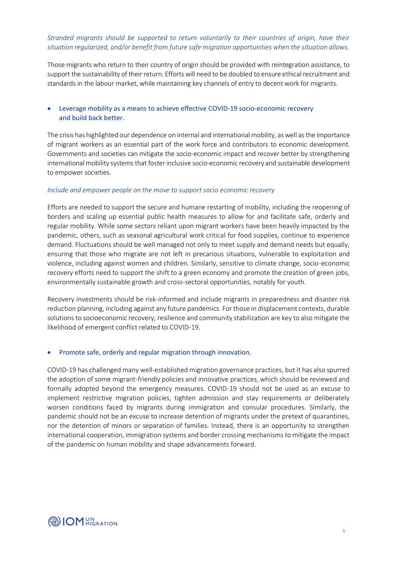## *Stranded migrants should be supported to return voluntarily to their countries of origin, have their situation regularized, and/or benefit from future safe migration opportunities when the situation allows.*

Those migrants who return to their country of origin should be provided with reintegration assistance, to support the sustainability of their return. Efforts will need to be doubled to ensure ethical recruitment and standards in the labour market, while maintaining key channels of entry to decent work for migrants.

## • Leverage mobility as a means to achieve effective COVID-19 socio-economic recovery and build back better.

The crisis has highlighted our dependence on internal and international mobility, as well as the importance of migrant workers as an essential part of the work force and contributors to economic development. Governments and societies can mitigate the socio-economic impact and recover better by strengthening international mobility systems that foster inclusive socio-economic recovery and sustainable development to empower societies.

#### *Include and empower people on the move to support socio economic recovery*

Efforts are needed to support the secure and humane restarting of mobility, including the reopening of borders and scaling up essential public health measures to allow for and facilitate safe, orderly and regular mobility. While some sectors reliant upon migrant workers have been heavily impacted by the pandemic, others, such as seasonal agricultural work critical for food supplies, continue to experience demand. Fluctuations should be well managed not only to meet supply and demand needs but equally, ensuring that those who migrate are not left in precarious situations, vulnerable to exploitation and violence, including against women and children. Similarly, sensitive to climate change, socio-economic recovery efforts need to support the shift to a green economy and promote the creation of green jobs, environmentally sustainable growth and cross-sectoral opportunities, notably for youth.

Recovery investments should be risk-informed and include migrants in preparedness and disaster risk reduction planning, including against any future pandemics. For those in displacement contexts, durable solutions to socioeconomic recovery, resilience and community stabilization are key to also mitigate the likelihood of emergent conflict related to COVID-19.

#### • Promote safe, orderly and regular migration through innovation.

COVID-19 has challenged many well-established migration governance practices, but it has also spurred the adoption of some migrant-friendly policies and innovative practices, which should be reviewed and formally adopted beyond the emergency measures. COVID-19 should not be used as an excuse to implement restrictive migration policies, tighten admission and stay requirements or deliberately worsen conditions faced by migrants during immigration and consular procedures. Similarly, the pandemic should not be an excuse to increase detention of migrants under the pretext of quarantines, nor the detention of minors or separation of families. Instead, there is an opportunity to strengthen international cooperation, immigration systems and border crossing mechanisms to mitigate the impact of the pandemic on human mobility and shape advancements forward.

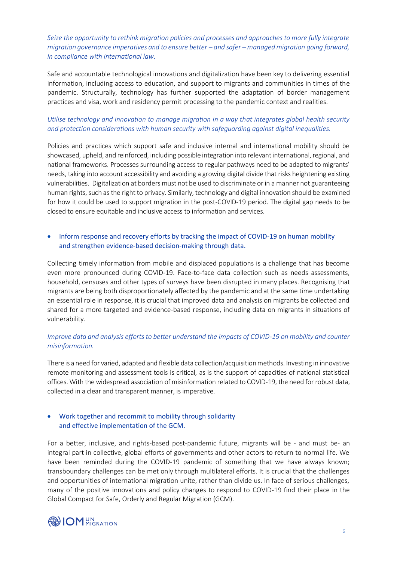# *Seize the opportunity to rethink migration policies and processes and approaches to more fully integrate migration governance imperatives and to ensure better – and safer – managed migration going forward, in compliance with international law.*

Safe and accountable technological innovations and digitalization have been key to delivering essential information, including access to education, and support to migrants and communities in times of the pandemic. Structurally, technology has further supported the adaptation of border management practices and visa, work and residency permit processing to the pandemic context and realities.

# *Utilise technology and innovation to manage migration in a way that integrates global health security and protection considerations with human security with safeguarding against digital inequalities.*

Policies and practices which support safe and inclusive internal and international mobility should be showcased, upheld, and reinforced, including possible integration into relevant international, regional, and national frameworks. Processes surrounding access to regular pathways need to be adapted to migrants' needs, taking into account accessibility and avoiding a growing digital divide that risks heightening existing vulnerabilities. Digitalization at borders must not be used to discriminate or in a manner not guaranteeing human rights, such as the right to privacy. Similarly, technology and digital innovation should be examined for how it could be used to support migration in the post-COVID-19 period. The digital gap needs to be closed to ensure equitable and inclusive access to information and services.

# • Inform response and recovery efforts by tracking the impact of COVID-19 on human mobility and strengthen evidence-based decision-making through data.

Collecting timely information from mobile and displaced populations is a challenge that has become even more pronounced during COVID-19. Face-to-face data collection such as needs assessments, household, censuses and other types of surveys have been disrupted in many places. Recognising that migrants are being both disproportionately affected by the pandemic and at the same time undertaking an essential role in response, it is crucial that improved data and analysis on migrants be collected and shared for a more targeted and evidence-based response, including data on migrants in situations of vulnerability.

## *Improve data and analysis efforts to better understand the impacts of COVID-19 on mobility and counter misinformation.*

There is a need for varied, adapted and flexible data collection/acquisition methods. Investing in innovative remote monitoring and assessment tools is critical, as is the support of capacities of national statistical offices. With the widespread association of misinformation related to COVID-19, the need for robust data, collected in a clear and transparent manner, is imperative.

## • Work together and recommit to mobility through solidarity and effective implementation of the GCM.

For a better, inclusive, and rights-based post-pandemic future, migrants will be - and must be- an integral part in collective, global efforts of governments and other actors to return to normal life. We have been reminded during the COVID-19 pandemic of something that we have always known; transboundary challenges can be met only through multilateral efforts. It is crucial that the challenges and opportunities of international migration unite, rather than divide us. In face of serious challenges, many of the positive innovations and policy changes to respond to COVID-19 find their place in the Global Compact for Safe, Orderly and Regular Migration (GCM).